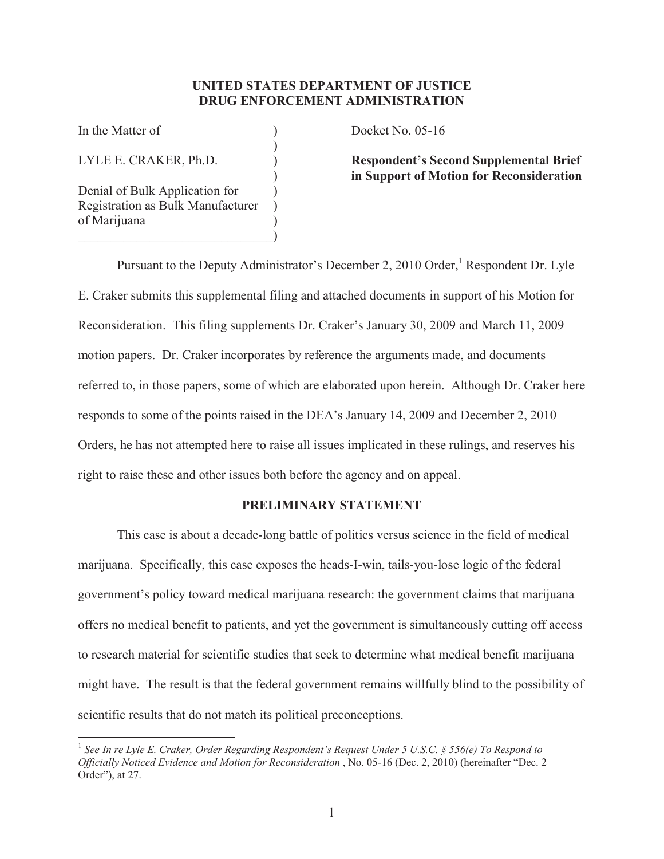## **UNITED STATES DEPARTMENT OF JUSTICE DRUG ENFORCEMENT ADMINISTRATION**

)

Denial of Bulk Application for ) Registration as Bulk Manufacturer ) of Marijuana )  $\qquad \qquad \Box$ 

In the Matter of  $Docket No. 05-16$ 

LYLE E. CRAKER, Ph.D. ) **Respondent's Second Supplemental Brief**  ) **in Support of Motion for Reconsideration**

Pursuant to the Deputy Administrator's December 2, 2010 Order,<sup>1</sup> Respondent Dr. Lyle E. Craker submits this supplemental filing and attached documents in support of his Motion for Reconsideration. This filing supplements Dr. Craker's January 30, 2009 and March 11, 2009 motion papers. Dr. Craker incorporates by reference the arguments made, and documents referred to, in those papers, some of which are elaborated upon herein. Although Dr. Craker here responds to some of the points raised in the DEA's January 14, 2009 and December 2, 2010 Orders, he has not attempted here to raise all issues implicated in these rulings, and reserves his right to raise these and other issues both before the agency and on appeal.

# **PRELIMINARY STATEMENT**

This case is about a decade-long battle of politics versus science in the field of medical marijuana. Specifically, this case exposes the heads-I-win, tails-you-lose logic of the federal government's policy toward medical marijuana research: the government claims that marijuana offers no medical benefit to patients, and yet the government is simultaneously cutting off access to research material for scientific studies that seek to determine what medical benefit marijuana might have. The result is that the federal government remains willfully blind to the possibility of scientific results that do not match its political preconceptions.

 $\overline{a}$ <sup>1</sup> See In re Lyle E. Craker, Order Regarding Respondent's Request Under 5 U.S.C. § 556(e) To Respond to *Officially Noticed Evidence and Motion for Reconsideration* , No. 05-16 (Dec. 2, 2010) (hereinafter "Dec. 2 Order"), at 27.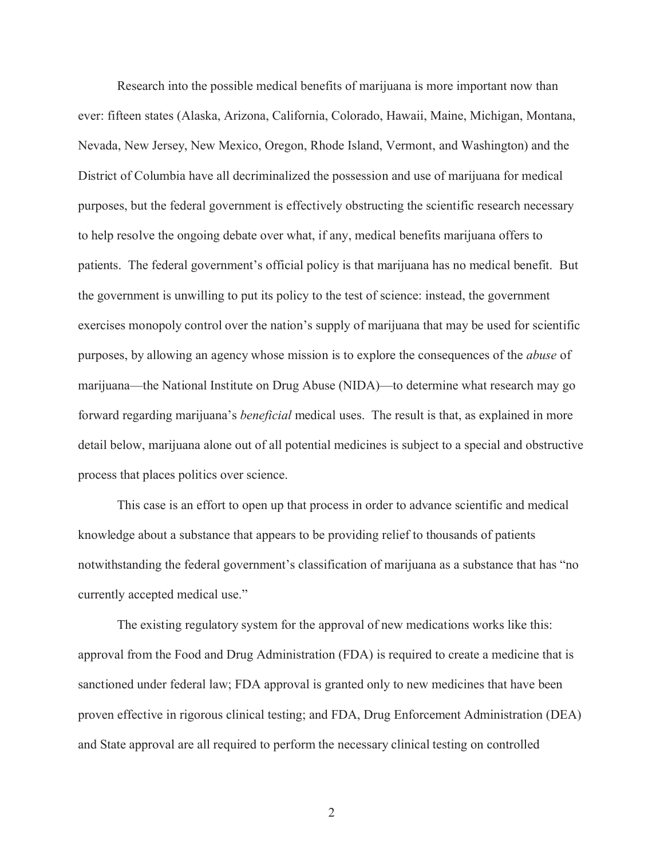Research into the possible medical benefits of marijuana is more important now than ever: fifteen states (Alaska, Arizona, California, Colorado, Hawaii, Maine, Michigan, Montana, Nevada, New Jersey, New Mexico, Oregon, Rhode Island, Vermont, and Washington) and the District of Columbia have all decriminalized the possession and use of marijuana for medical purposes, but the federal government is effectively obstructing the scientific research necessary to help resolve the ongoing debate over what, if any, medical benefits marijuana offers to patients. The federal government's official policy is that marijuana has no medical benefit. But the government is unwilling to put its policy to the test of science: instead, the government exercises monopoly control over the nation's supply of marijuana that may be used for scientific purposes, by allowing an agency whose mission is to explore the consequences of the *abuse* of marijuana—the National Institute on Drug Abuse (NIDA)—to determine what research may go forward regarding marijuana's *beneficial* medical uses. The result is that, as explained in more detail below, marijuana alone out of all potential medicines is subject to a special and obstructive process that places politics over science.

This case is an effort to open up that process in order to advance scientific and medical knowledge about a substance that appears to be providing relief to thousands of patients notwithstanding the federal government's classification of marijuana as a substance that has "no currently accepted medical use."

The existing regulatory system for the approval of new medications works like this: approval from the Food and Drug Administration (FDA) is required to create a medicine that is sanctioned under federal law; FDA approval is granted only to new medicines that have been proven effective in rigorous clinical testing; and FDA, Drug Enforcement Administration (DEA) and State approval are all required to perform the necessary clinical testing on controlled

2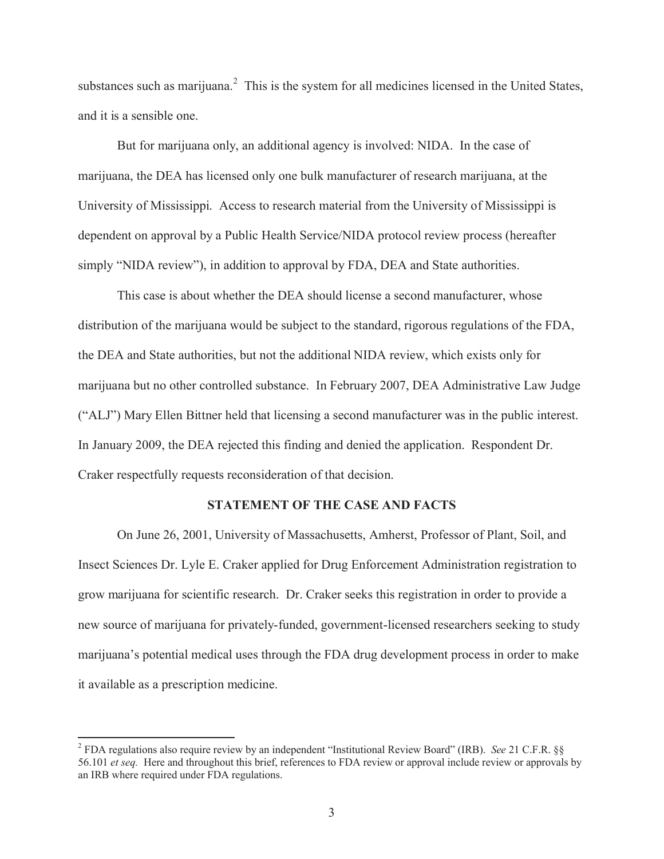substances such as marijuana. $2$  This is the system for all medicines licensed in the United States, and it is a sensible one.

But for marijuana only, an additional agency is involved: NIDA. In the case of marijuana, the DEA has licensed only one bulk manufacturer of research marijuana, at the University of Mississippi. Access to research material from the University of Mississippi is dependent on approval by a Public Health Service/NIDA protocol review process (hereafter simply "NIDA review"), in addition to approval by FDA, DEA and State authorities.

This case is about whether the DEA should license a second manufacturer, whose distribution of the marijuana would be subject to the standard, rigorous regulations of the FDA, the DEA and State authorities, but not the additional NIDA review, which exists only for marijuana but no other controlled substance. In February 2007, DEA Administrative Law Judge ("ALJ") Mary Ellen Bittner held that licensing a second manufacturer was in the public interest. In January 2009, the DEA rejected this finding and denied the application. Respondent Dr. Craker respectfully requests reconsideration of that decision.

#### **STATEMENT OF THE CASE AND FACTS**

On June 26, 2001, University of Massachusetts, Amherst, Professor of Plant, Soil, and Insect Sciences Dr. Lyle E. Craker applied for Drug Enforcement Administration registration to grow marijuana for scientific research. Dr. Craker seeks this registration in order to provide a new source of marijuana for privately-funded, government-licensed researchers seeking to study marijuana's potential medical uses through the FDA drug development process in order to make it available as a prescription medicine.

<sup>2</sup> FDA regulations also require review by an independent "Institutional Review Board" (IRB). *See* 21 C.F.R. §§ 56.101 *et seq.* Here and throughout this brief, references to FDA review or approval include review or approvals by an IRB where required under FDA regulations.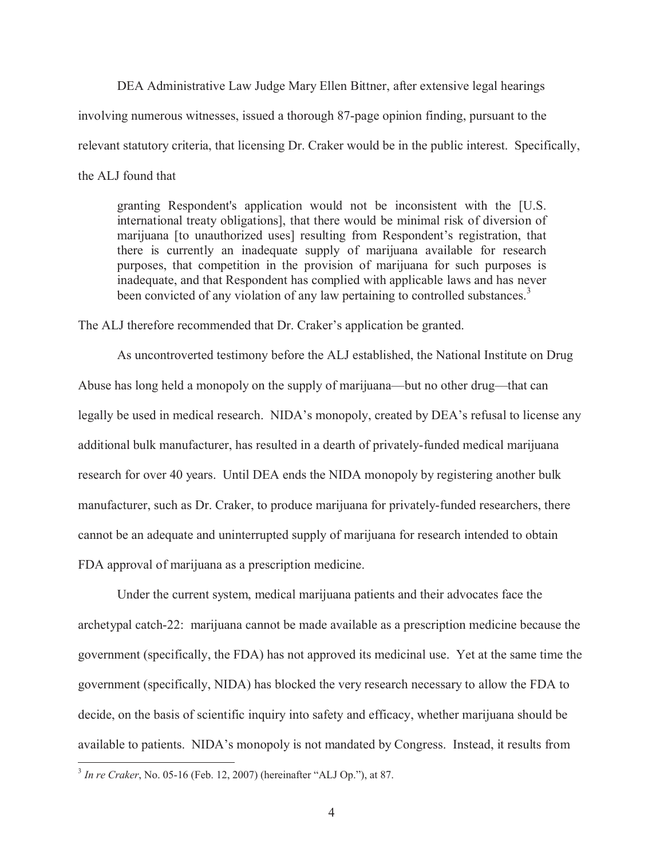DEA Administrative Law Judge Mary Ellen Bittner, after extensive legal hearings involving numerous witnesses, issued a thorough 87-page opinion finding, pursuant to the relevant statutory criteria, that licensing Dr. Craker would be in the public interest. Specifically, the ALJ found that

granting Respondent's application would not be inconsistent with the [U.S. international treaty obligations], that there would be minimal risk of diversion of marijuana [to unauthorized uses] resulting from Respondent's registration, that there is currently an inadequate supply of marijuana available for research purposes, that competition in the provision of marijuana for such purposes is inadequate, and that Respondent has complied with applicable laws and has never been convicted of any violation of any law pertaining to controlled substances.<sup>3</sup>

The ALJ therefore recommended that Dr. Craker's application be granted.

As uncontroverted testimony before the ALJ established, the National Institute on Drug Abuse has long held a monopoly on the supply of marijuana—but no other drug—that can legally be used in medical research. NIDA's monopoly, created by DEA's refusal to license any additional bulk manufacturer, has resulted in a dearth of privately-funded medical marijuana research for over 40 years. Until DEA ends the NIDA monopoly by registering another bulk manufacturer, such as Dr. Craker, to produce marijuana for privately-funded researchers, there cannot be an adequate and uninterrupted supply of marijuana for research intended to obtain FDA approval of marijuana as a prescription medicine.

Under the current system, medical marijuana patients and their advocates face the archetypal catch-22: marijuana cannot be made available as a prescription medicine because the government (specifically, the FDA) has not approved its medicinal use. Yet at the same time the government (specifically, NIDA) has blocked the very research necessary to allow the FDA to decide, on the basis of scientific inquiry into safety and efficacy, whether marijuana should be available to patients. NIDA's monopoly is not mandated by Congress. Instead, it results from

<sup>3</sup> *In re Craker*, No. 05-16 (Feb. 12, 2007) (hereinafter "ALJ Op."), at 87.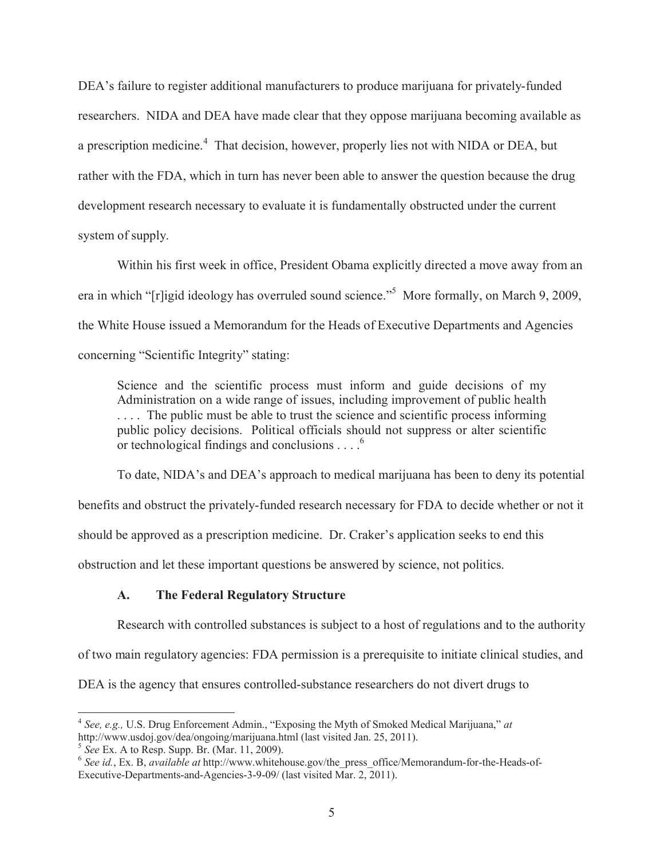DEA's failure to register additional manufacturers to produce marijuana for privately-funded researchers. NIDA and DEA have made clear that they oppose marijuana becoming available as a prescription medicine.<sup>4</sup> That decision, however, properly lies not with NIDA or DEA, but rather with the FDA, which in turn has never been able to answer the question because the drug development research necessary to evaluate it is fundamentally obstructed under the current system of supply.

Within his first week in office, President Obama explicitly directed a move away from an era in which "[r]igid ideology has overruled sound science."<sup>5</sup> More formally, on March 9, 2009, the White House issued a Memorandum for the Heads of Executive Departments and Agencies concerning "Scientific Integrity" stating:

Science and the scientific process must inform and guide decisions of my Administration on a wide range of issues, including improvement of public health .... The public must be able to trust the science and scientific process informing public policy decisions. Political officials should not suppress or alter scientific or technological findings and conclusions . . . .<sup>6</sup>

To date, NIDA's and DEA's approach to medical marijuana has been to deny its potential benefits and obstruct the privately-funded research necessary for FDA to decide whether or not it should be approved as a prescription medicine. Dr. Craker's application seeks to end this obstruction and let these important questions be answered by science, not politics.

## **A. The Federal Regulatory Structure**

Research with controlled substances is subject to a host of regulations and to the authority

of two main regulatory agencies: FDA permission is a prerequisite to initiate clinical studies, and

DEA is the agency that ensures controlled-substance researchers do not divert drugs to

 4 *See, e.g.,* U.S. Drug Enforcement Admin., "Exposing the Myth of Smoked Medical Marijuana," *at* http://www.usdoj.gov/dea/ongoing/marijuana.html (last visited Jan. 25, 2011).

<sup>5</sup> *See* Ex. A to Resp. Supp. Br. (Mar. 11, 2009).

<sup>6</sup> *See id.*, Ex. B, *available at* http://www.whitehouse.gov/the\_press\_office/Memorandum-for-the-Heads-of-Executive-Departments-and-Agencies-3-9-09/ (last visited Mar. 2, 2011).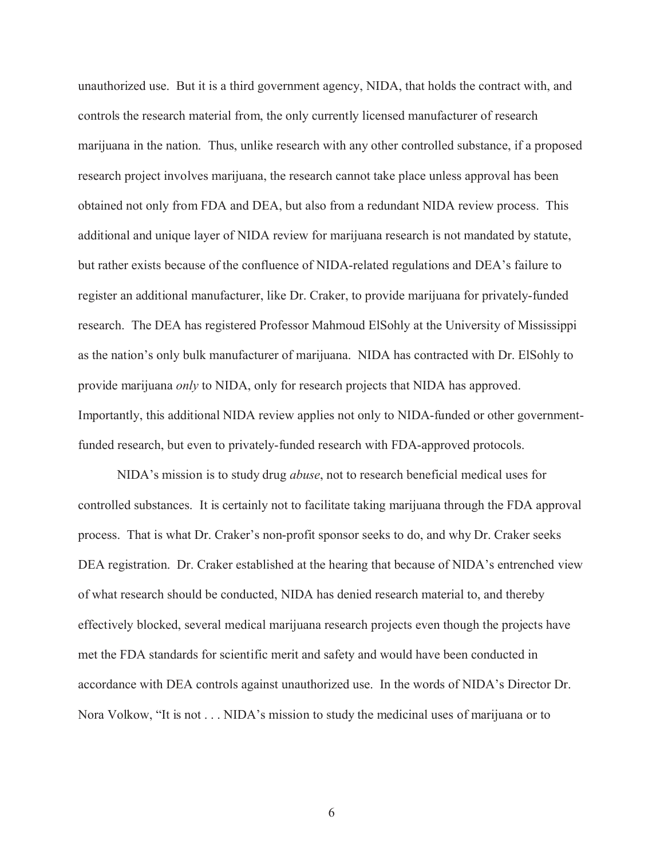unauthorized use. But it is a third government agency, NIDA, that holds the contract with, and controls the research material from, the only currently licensed manufacturer of research marijuana in the nation. Thus, unlike research with any other controlled substance, if a proposed research project involves marijuana, the research cannot take place unless approval has been obtained not only from FDA and DEA, but also from a redundant NIDA review process. This additional and unique layer of NIDA review for marijuana research is not mandated by statute, but rather exists because of the confluence of NIDA-related regulations and DEA's failure to register an additional manufacturer, like Dr. Craker, to provide marijuana for privately-funded research. The DEA has registered Professor Mahmoud ElSohly at the University of Mississippi as the nation's only bulk manufacturer of marijuana. NIDA has contracted with Dr. ElSohly to provide marijuana *only* to NIDA, only for research projects that NIDA has approved. Importantly, this additional NIDA review applies not only to NIDA-funded or other governmentfunded research, but even to privately-funded research with FDA-approved protocols.

NIDA's mission is to study drug *abuse*, not to research beneficial medical uses for controlled substances. It is certainly not to facilitate taking marijuana through the FDA approval process. That is what Dr. Craker's non-profit sponsor seeks to do, and why Dr. Craker seeks DEA registration. Dr. Craker established at the hearing that because of NIDA's entrenched view of what research should be conducted, NIDA has denied research material to, and thereby effectively blocked, several medical marijuana research projects even though the projects have met the FDA standards for scientific merit and safety and would have been conducted in accordance with DEA controls against unauthorized use. In the words of NIDA's Director Dr. Nora Volkow, "It is not . . . NIDA's mission to study the medicinal uses of marijuana or to

6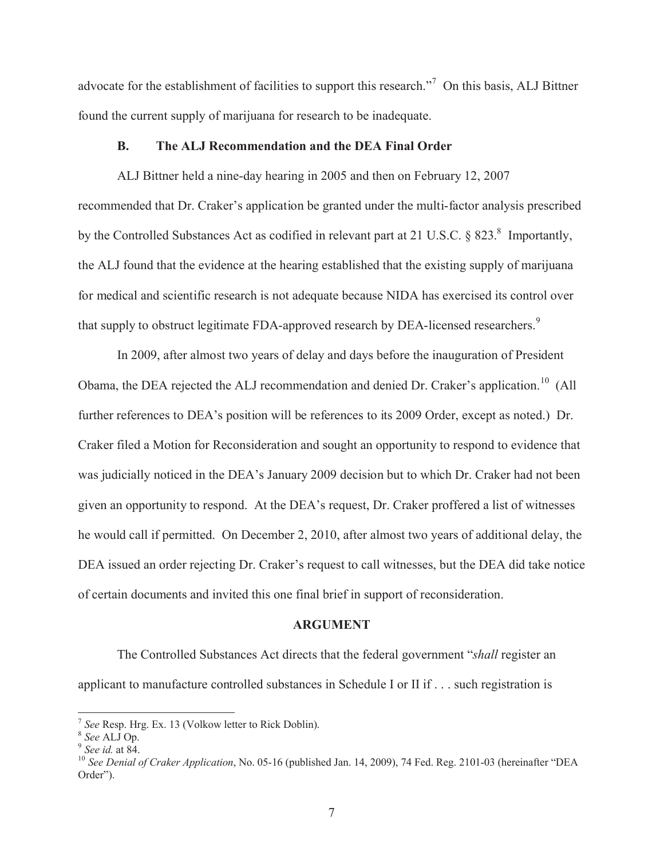advocate for the establishment of facilities to support this research."<sup>7</sup> On this basis, ALJ Bittner found the current supply of marijuana for research to be inadequate.

#### **B. The ALJ Recommendation and the DEA Final Order**

ALJ Bittner held a nine-day hearing in 2005 and then on February 12, 2007 recommended that Dr. Craker's application be granted under the multi-factor analysis prescribed by the Controlled Substances Act as codified in relevant part at 21 U.S.C. § 823.<sup>8</sup> Importantly, the ALJ found that the evidence at the hearing established that the existing supply of marijuana for medical and scientific research is not adequate because NIDA has exercised its control over that supply to obstruct legitimate FDA-approved research by DEA-licensed researchers.<sup>9</sup>

In 2009, after almost two years of delay and days before the inauguration of President Obama, the DEA rejected the ALJ recommendation and denied Dr. Craker's application.<sup>10</sup> (All further references to DEA's position will be references to its 2009 Order, except as noted.) Dr. Craker filed a Motion for Reconsideration and sought an opportunity to respond to evidence that was judicially noticed in the DEA's January 2009 decision but to which Dr. Craker had not been given an opportunity to respond. At the DEA's request, Dr. Craker proffered a list of witnesses he would call if permitted. On December 2, 2010, after almost two years of additional delay, the DEA issued an order rejecting Dr. Craker's request to call witnesses, but the DEA did take notice of certain documents and invited this one final brief in support of reconsideration.

#### **ARGUMENT**

The Controlled Substances Act directs that the federal government "*shall* register an applicant to manufacture controlled substances in Schedule I or II if . . . such registration is

 7 *See* Resp. Hrg. Ex. 13 (Volkow letter to Rick Doblin).

<sup>8</sup> *See* ALJ Op.

<sup>9</sup> *See id.* at 84.

<sup>10</sup> *See Denial of Craker Application*, No. 05-16 (published Jan. 14, 2009), 74 Fed. Reg. 2101-03 (hereinafter "DEA Order").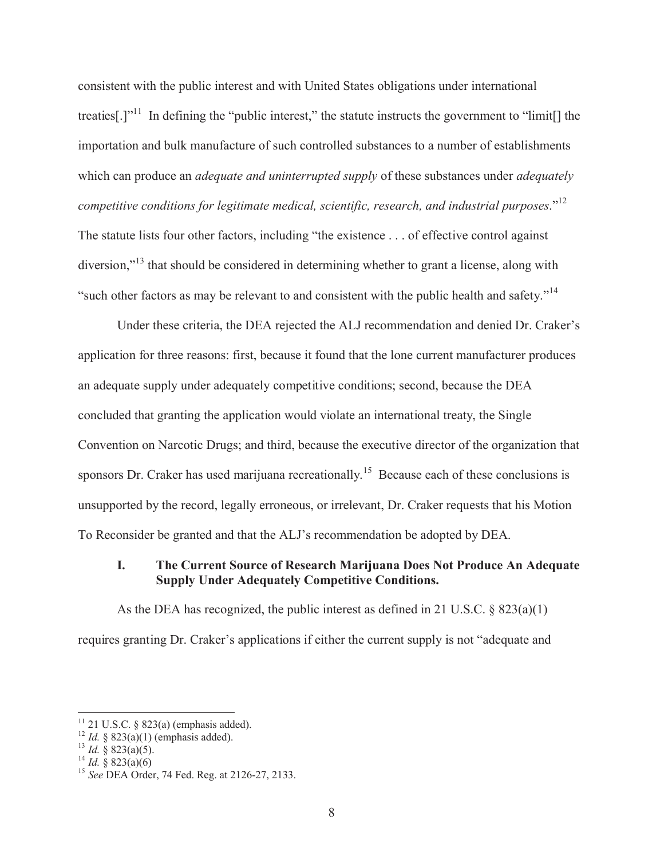consistent with the public interest and with United States obligations under international treaties[.]"<sup>11</sup> In defining the "public interest," the statute instructs the government to "limit[] the importation and bulk manufacture of such controlled substances to a number of establishments which can produce an *adequate and uninterrupted supply* of these substances under *adequately competitive conditions for legitimate medical, scientific, research, and industrial purposes*."<sup>12</sup> The statute lists four other factors, including "the existence . . . of effective control against diversion,"<sup>13</sup> that should be considered in determining whether to grant a license, along with "such other factors as may be relevant to and consistent with the public health and safety."<sup>14</sup>

Under these criteria, the DEA rejected the ALJ recommendation and denied Dr. Craker's application for three reasons: first, because it found that the lone current manufacturer produces an adequate supply under adequately competitive conditions; second, because the DEA concluded that granting the application would violate an international treaty, the Single Convention on Narcotic Drugs; and third, because the executive director of the organization that sponsors Dr. Craker has used marijuana recreationally.<sup>15</sup> Because each of these conclusions is unsupported by the record, legally erroneous, or irrelevant, Dr. Craker requests that his Motion To Reconsider be granted and that the ALJ's recommendation be adopted by DEA.

# **I. The Current Source of Research Marijuana Does Not Produce An Adequate Supply Under Adequately Competitive Conditions.**

As the DEA has recognized, the public interest as defined in 21 U.S.C. § 823(a)(1) requires granting Dr. Craker's applications if either the current supply is not "adequate and

 $11$  21 U.S.C. § 823(a) (emphasis added).

 $12$  *Id.* § 823(a)(1) (emphasis added).

 $^{13}$  *Id.* § 823(a)(5).

 $^{14}$  *Id.* § 823(a)(6)

<sup>15</sup> *See* DEA Order, 74 Fed. Reg. at 2126-27, 2133.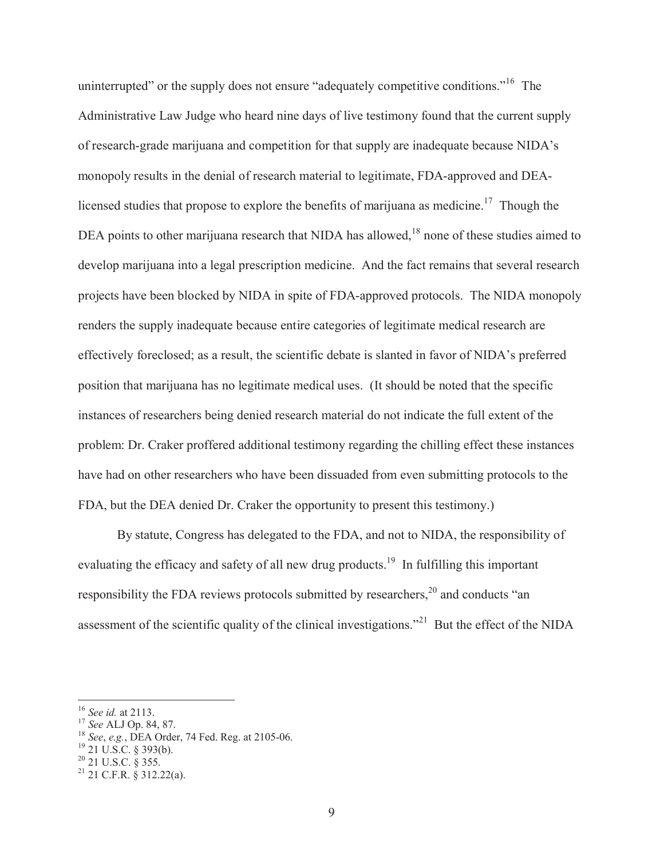uninterrupted" or the supply does not ensure "adequately competitive conditions."<sup>16</sup> The Administrative Law Judge who heard nine days of live testimony found that the current supply of research-grade marijuana and competition for that supply are inadequate because NIDA's monopoly results in the denial of research material to legitimate, FDA-approved and DEAlicensed studies that propose to explore the benefits of marijuana as medicine.<sup>17</sup> Though the DEA points to other marijuana research that NIDA has allowed,<sup>18</sup> none of these studies aimed to develop marijuana into a legal prescription medicine. And the fact remains that several research projects have been blocked by NIDA in spite of FDA-approved protocols. The NIDA monopoly renders the supply inadequate because entire categories of legitimate medical research are effectively foreclosed; as a result, the scientific debate is slanted in favor of NIDA's preferred position that marijuana has no legitimate medical uses. (It should be noted that the specific instances of researchers being denied research material do not indicate the full extent of the problem: Dr. Craker proffered additional testimony regarding the chilling effect these instances have had on other researchers who have been dissuaded from even submitting protocols to the FDA, but the DEA denied Dr. Craker the opportunity to present this testimony.)

By statute, Congress has delegated to the FDA, and not to NIDA, the responsibility of evaluating the efficacy and safety of all new drug products.<sup>19</sup> In fulfilling this important responsibility the FDA reviews protocols submitted by researchers,<sup>20</sup> and conducts "an assessment of the scientific quality of the clinical investigations."<sup>21</sup> But the effect of the NIDA

<sup>16</sup> *See id.* at 2113.

<sup>17</sup> *See* ALJ Op. 84, 87.

<sup>18</sup> *See*, *e.g.*, DEA Order, 74 Fed. Reg. at 2105-06.

 $19$  21 U.S.C. § 393(b).

 $^{20}$  21 U.S.C. § 355.

 $^{21}$  21 C.F.R. § 312.22(a).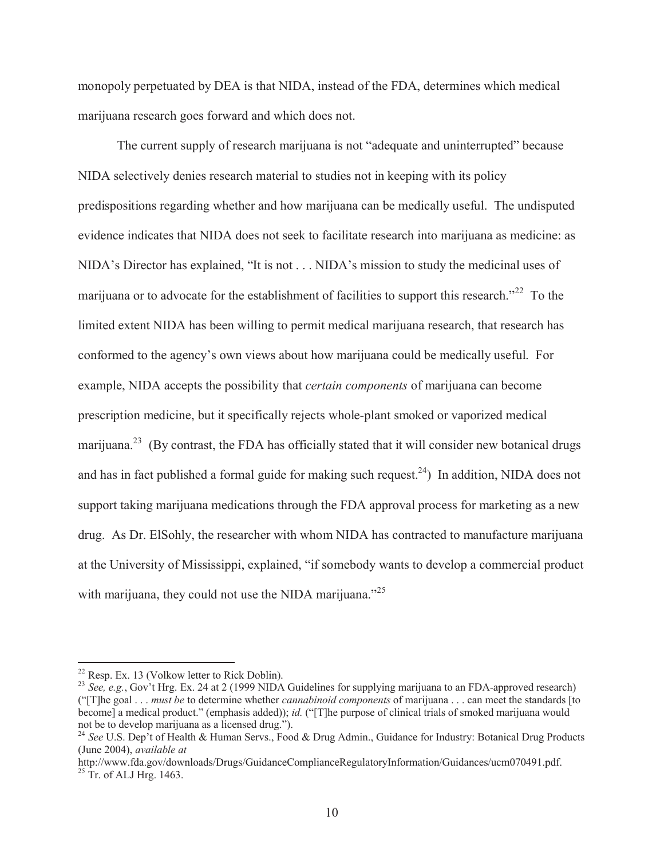monopoly perpetuated by DEA is that NIDA, instead of the FDA, determines which medical marijuana research goes forward and which does not.

The current supply of research marijuana is not "adequate and uninterrupted" because NIDA selectively denies research material to studies not in keeping with its policy predispositions regarding whether and how marijuana can be medically useful. The undisputed evidence indicates that NIDA does not seek to facilitate research into marijuana as medicine: as NIDA's Director has explained, "It is not . . . NIDA's mission to study the medicinal uses of marijuana or to advocate for the establishment of facilities to support this research.<sup> $22$ </sup> To the limited extent NIDA has been willing to permit medical marijuana research, that research has conformed to the agency's own views about how marijuana could be medically useful. For example, NIDA accepts the possibility that *certain components* of marijuana can become prescription medicine, but it specifically rejects whole-plant smoked or vaporized medical marijuana.<sup>23</sup> (By contrast, the FDA has officially stated that it will consider new botanical drugs and has in fact published a formal guide for making such request.<sup>24</sup>) In addition, NIDA does not support taking marijuana medications through the FDA approval process for marketing as a new drug. As Dr. ElSohly, the researcher with whom NIDA has contracted to manufacture marijuana at the University of Mississippi, explained, "if somebody wants to develop a commercial product with marijuana, they could not use the NIDA marijuana."<sup>25</sup>

 $22$  Resp. Ex. 13 (Volkow letter to Rick Doblin).

<sup>&</sup>lt;sup>23</sup> *See, e.g.*, Gov't Hrg. Ex. 24 at 2 (1999 NIDA Guidelines for supplying marijuana to an FDA-approved research) ("[T]he goal . . . *must be* to determine whether *cannabinoid components* of marijuana . . . can meet the standards [to become] a medical product." (emphasis added)); *id.* ("[T]he purpose of clinical trials of smoked marijuana would not be to develop marijuana as a licensed drug.").

<sup>&</sup>lt;sup>24</sup> See U.S. Dep't of Health & Human Servs., Food & Drug Admin., Guidance for Industry: Botanical Drug Products (June 2004), *available at* 

http://www.fda.gov/downloads/Drugs/GuidanceComplianceRegulatoryInformation/Guidances/ucm070491.pdf.  $25$  Tr. of ALJ Hrg. 1463.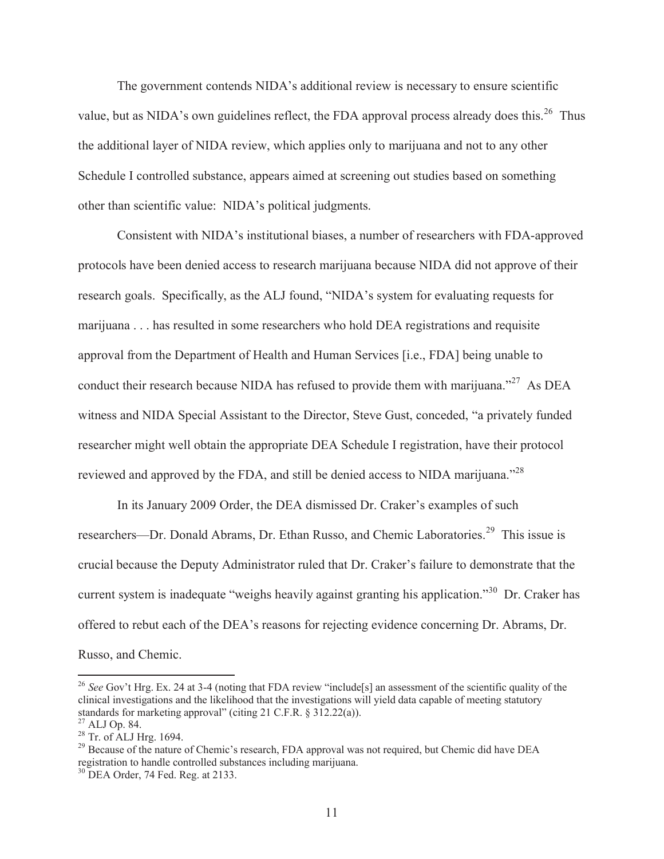The government contends NIDA's additional review is necessary to ensure scientific value, but as NIDA's own guidelines reflect, the FDA approval process already does this.<sup>26</sup> Thus the additional layer of NIDA review, which applies only to marijuana and not to any other Schedule I controlled substance, appears aimed at screening out studies based on something other than scientific value: NIDA's political judgments.

Consistent with NIDA's institutional biases, a number of researchers with FDA-approved protocols have been denied access to research marijuana because NIDA did not approve of their research goals. Specifically, as the ALJ found, "NIDA's system for evaluating requests for marijuana . . . has resulted in some researchers who hold DEA registrations and requisite approval from the Department of Health and Human Services [i.e., FDA] being unable to conduct their research because NIDA has refused to provide them with marijuana."<sup>27</sup> As DEA witness and NIDA Special Assistant to the Director, Steve Gust, conceded, "a privately funded researcher might well obtain the appropriate DEA Schedule I registration, have their protocol reviewed and approved by the FDA, and still be denied access to NIDA marijuana."<sup>28</sup>

In its January 2009 Order, the DEA dismissed Dr. Craker's examples of such researchers—Dr. Donald Abrams, Dr. Ethan Russo, and Chemic Laboratories.<sup>29</sup> This issue is crucial because the Deputy Administrator ruled that Dr. Craker's failure to demonstrate that the current system is inadequate "weighs heavily against granting his application."<sup>30</sup> Dr. Craker has offered to rebut each of the DEA's reasons for rejecting evidence concerning Dr. Abrams, Dr.

Russo, and Chemic.

<sup>&</sup>lt;sup>26</sup> See Gov't Hrg. Ex. 24 at 3-4 (noting that FDA review "include[s] an assessment of the scientific quality of the clinical investigations and the likelihood that the investigations will yield data capable of meeting statutory standards for marketing approval" (citing 21 C.F.R. § 312.22(a)).

 $^{27}$  ALJ Op. 84.

 $28$  Tr. of ALJ Hrg. 1694.

<sup>&</sup>lt;sup>29</sup> Because of the nature of Chemic's research, FDA approval was not required, but Chemic did have DEA registration to handle controlled substances including marijuana.

<sup>&</sup>lt;sup>30</sup> DEA Order, 74 Fed. Reg. at 2133.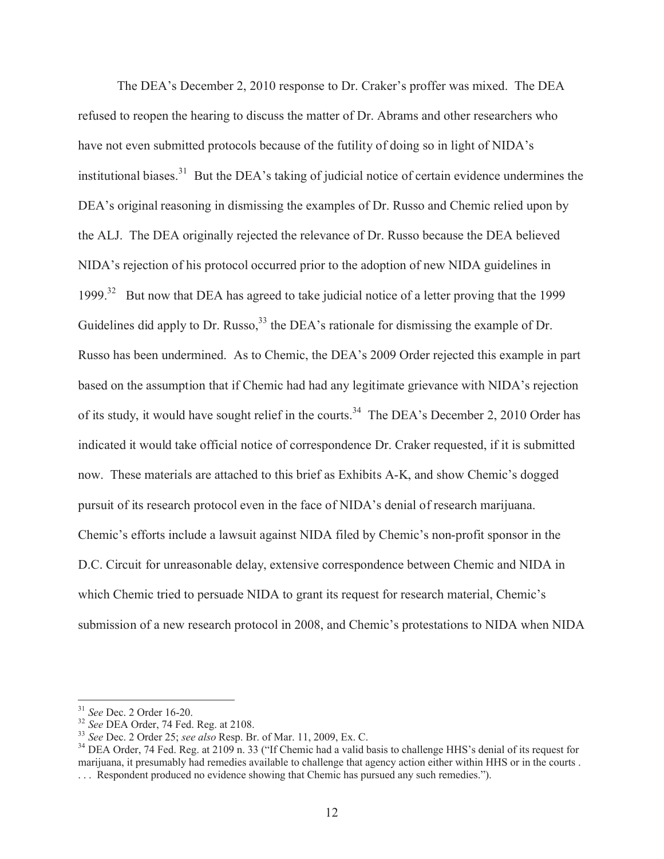The DEA's December 2, 2010 response to Dr. Craker's proffer was mixed. The DEA refused to reopen the hearing to discuss the matter of Dr. Abrams and other researchers who have not even submitted protocols because of the futility of doing so in light of NIDA's institutional biases.<sup>31</sup> But the DEA's taking of judicial notice of certain evidence undermines the DEA's original reasoning in dismissing the examples of Dr. Russo and Chemic relied upon by the ALJ. The DEA originally rejected the relevance of Dr. Russo because the DEA believed NIDA's rejection of his protocol occurred prior to the adoption of new NIDA guidelines in 1999.<sup>32</sup> But now that DEA has agreed to take judicial notice of a letter proving that the 1999 Guidelines did apply to Dr. Russo,  $33$  the DEA's rationale for dismissing the example of Dr. Russo has been undermined. As to Chemic, the DEA's 2009 Order rejected this example in part based on the assumption that if Chemic had had any legitimate grievance with NIDA's rejection of its study, it would have sought relief in the courts.<sup>34</sup> The DEA's December 2, 2010 Order has indicated it would take official notice of correspondence Dr. Craker requested, if it is submitted now. These materials are attached to this brief as Exhibits A-K, and show Chemic's dogged pursuit of its research protocol even in the face of NIDA's denial of research marijuana. Chemic's efforts include a lawsuit against NIDA filed by Chemic's non-profit sponsor in the D.C. Circuit for unreasonable delay, extensive correspondence between Chemic and NIDA in which Chemic tried to persuade NIDA to grant its request for research material, Chemic's submission of a new research protocol in 2008, and Chemic's protestations to NIDA when NIDA

<sup>31</sup> *See* Dec. 2 Order 16-20.

<sup>32</sup> *See* DEA Order, 74 Fed. Reg. at 2108.

<sup>33</sup> *See* Dec. 2 Order 25; *see also* Resp. Br. of Mar. 11, 2009, Ex. C.

<sup>&</sup>lt;sup>34</sup> DEA Order, 74 Fed. Reg. at 2109 n. 33 ("If Chemic had a valid basis to challenge HHS's denial of its request for marijuana, it presumably had remedies available to challenge that agency action either within HHS or in the courts . . . . Respondent produced no evidence showing that Chemic has pursued any such remedies.").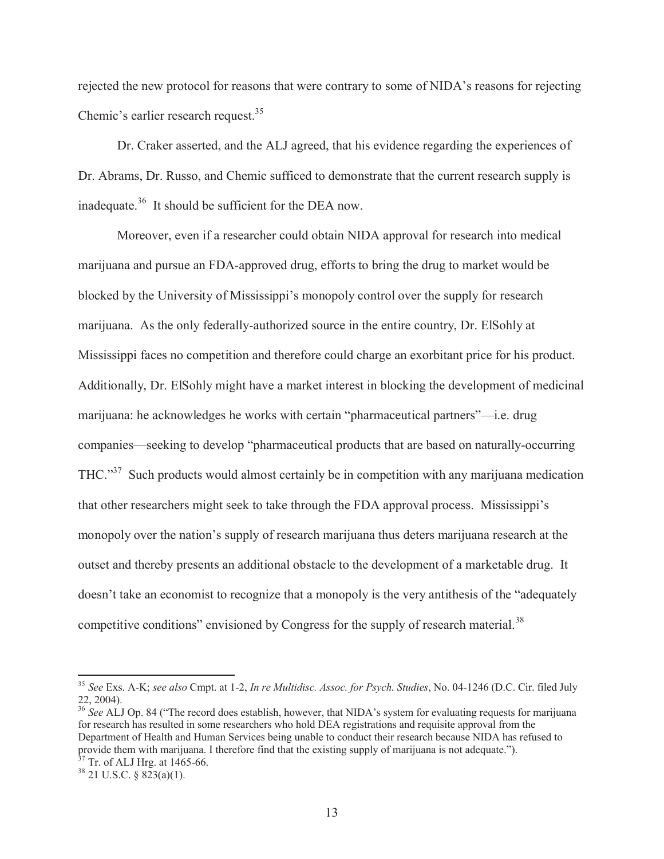rejected the new protocol for reasons that were contrary to some of NIDA's reasons for rejecting Chemic's earlier research request.<sup>35</sup>

Dr. Craker asserted, and the ALJ agreed, that his evidence regarding the experiences of Dr. Abrams, Dr. Russo, and Chemic sufficed to demonstrate that the current research supply is inadequate.<sup>36</sup> It should be sufficient for the DEA now.

Moreover, even if a researcher could obtain NIDA approval for research into medical marijuana and pursue an FDA-approved drug, efforts to bring the drug to market would be blocked by the University of Mississippi's monopoly control over the supply for research marijuana. As the only federally-authorized source in the entire country, Dr. ElSohly at Mississippi faces no competition and therefore could charge an exorbitant price for his product. Additionally, Dr. ElSohly might have a market interest in blocking the development of medicinal marijuana: he acknowledges he works with certain "pharmaceutical partners"—i.e. drug companies—seeking to develop "pharmaceutical products that are based on naturally-occurring THC."<sup>37</sup> Such products would almost certainly be in competition with any marijuana medication that other researchers might seek to take through the FDA approval process. Mississippi's monopoly over the nation's supply of research marijuana thus deters marijuana research at the outset and thereby presents an additional obstacle to the development of a marketable drug. It doesn't take an economist to recognize that a monopoly is the very antithesis of the "adequately competitive conditions" envisioned by Congress for the supply of research material.<sup>38</sup>

<sup>35</sup> *See* Exs. A-K; *see also* Cmpt. at 1-2, *In re Multidisc. Assoc. for Psych. Studies*, No. 04-1246 (D.C. Cir. filed July 22, 2004).

<sup>&</sup>lt;sup>36</sup> See ALJ Op. 84 ("The record does establish, however, that NIDA's system for evaluating requests for marijuana for research has resulted in some researchers who hold DEA registrations and requisite approval from the Department of Health and Human Services being unable to conduct their research because NIDA has refused to provide them with marijuana. I therefore find that the existing supply of marijuana is not adequate.").  $37$  Tr. of ALJ Hrg. at 1465-66.

 $38$  21 U.S.C. § 823(a)(1).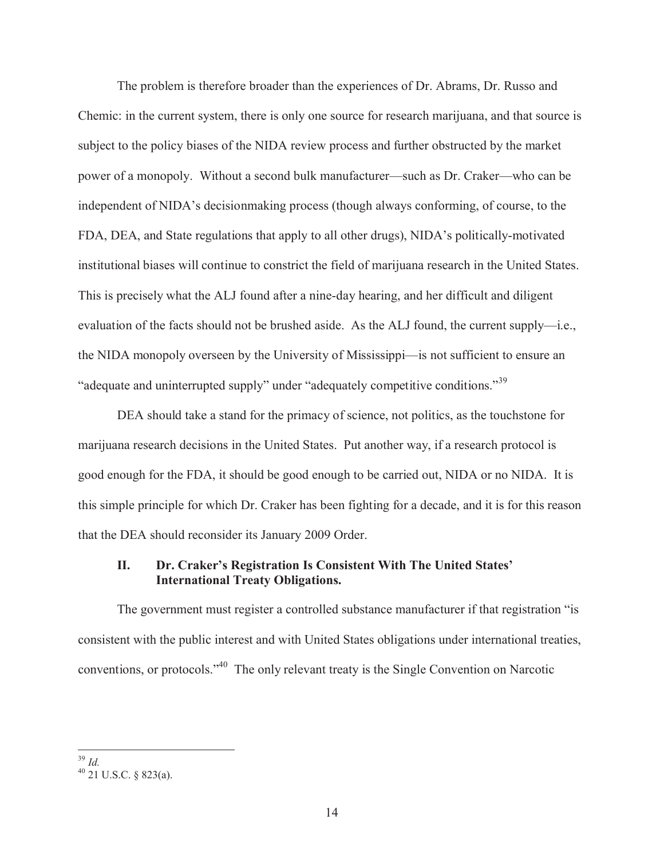The problem is therefore broader than the experiences of Dr. Abrams, Dr. Russo and Chemic: in the current system, there is only one source for research marijuana, and that source is subject to the policy biases of the NIDA review process and further obstructed by the market power of a monopoly. Without a second bulk manufacturer—such as Dr. Craker—who can be independent of NIDA's decisionmaking process (though always conforming, of course, to the FDA, DEA, and State regulations that apply to all other drugs), NIDA's politically-motivated institutional biases will continue to constrict the field of marijuana research in the United States. This is precisely what the ALJ found after a nine-day hearing, and her difficult and diligent evaluation of the facts should not be brushed aside. As the ALJ found, the current supply—i.e., the NIDA monopoly overseen by the University of Mississippi—is not sufficient to ensure an "adequate and uninterrupted supply" under "adequately competitive conditions."<sup>39</sup>

DEA should take a stand for the primacy of science, not politics, as the touchstone for marijuana research decisions in the United States. Put another way, if a research protocol is good enough for the FDA, it should be good enough to be carried out, NIDA or no NIDA. It is this simple principle for which Dr. Craker has been fighting for a decade, and it is for this reason that the DEA should reconsider its January 2009 Order.

## **II. Dr. Craker's Registration Is Consistent With The United States' International Treaty Obligations.**

The government must register a controlled substance manufacturer if that registration "is consistent with the public interest and with United States obligations under international treaties, conventions, or protocols."<sup>40</sup> The only relevant treaty is the Single Convention on Narcotic

 $\overline{a}$ <sup>39</sup> *Id.*

 $40$  21 U.S.C. § 823(a).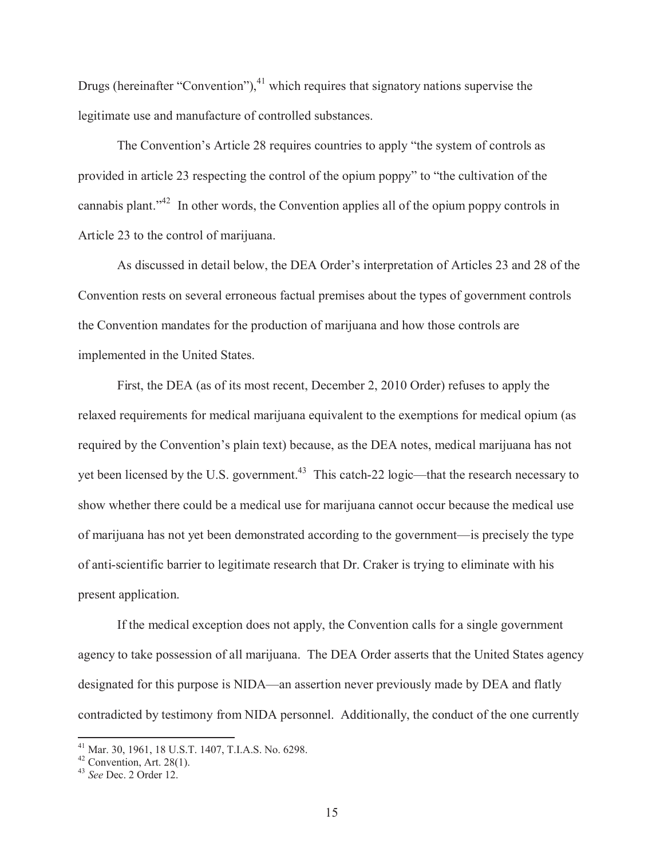Drugs (hereinafter "Convention"), $^{41}$  which requires that signatory nations supervise the legitimate use and manufacture of controlled substances.

The Convention's Article 28 requires countries to apply "the system of controls as provided in article 23 respecting the control of the opium poppy" to "the cultivation of the cannabis plant."<sup>42</sup> In other words, the Convention applies all of the opium poppy controls in Article 23 to the control of marijuana.

As discussed in detail below, the DEA Order's interpretation of Articles 23 and 28 of the Convention rests on several erroneous factual premises about the types of government controls the Convention mandates for the production of marijuana and how those controls are implemented in the United States.

First, the DEA (as of its most recent, December 2, 2010 Order) refuses to apply the relaxed requirements for medical marijuana equivalent to the exemptions for medical opium (as required by the Convention's plain text) because, as the DEA notes, medical marijuana has not yet been licensed by the U.S. government.<sup>43</sup> This catch-22 logic—that the research necessary to show whether there could be a medical use for marijuana cannot occur because the medical use of marijuana has not yet been demonstrated according to the government—is precisely the type of anti-scientific barrier to legitimate research that Dr. Craker is trying to eliminate with his present application.

If the medical exception does not apply, the Convention calls for a single government agency to take possession of all marijuana. The DEA Order asserts that the United States agency designated for this purpose is NIDA—an assertion never previously made by DEA and flatly contradicted by testimony from NIDA personnel. Additionally, the conduct of the one currently

<sup>41</sup> Mar. 30, 1961, 18 U.S.T. 1407, T.I.A.S. No. 6298.

 $42$  Convention, Art. 28(1).

<sup>43</sup> *See* Dec. 2 Order 12.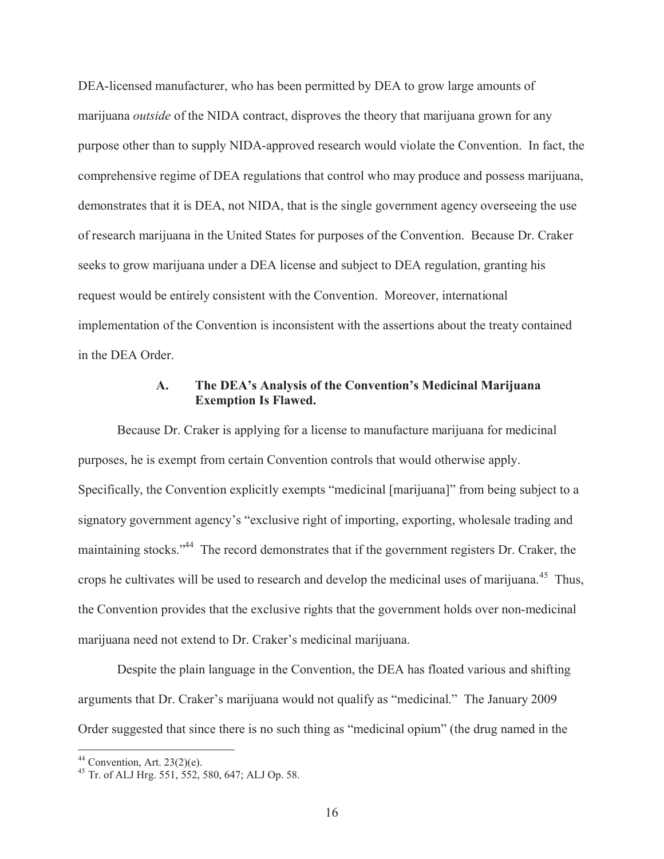DEA-licensed manufacturer, who has been permitted by DEA to grow large amounts of marijuana *outside* of the NIDA contract, disproves the theory that marijuana grown for any purpose other than to supply NIDA-approved research would violate the Convention. In fact, the comprehensive regime of DEA regulations that control who may produce and possess marijuana, demonstrates that it is DEA, not NIDA, that is the single government agency overseeing the use of research marijuana in the United States for purposes of the Convention. Because Dr. Craker seeks to grow marijuana under a DEA license and subject to DEA regulation, granting his request would be entirely consistent with the Convention. Moreover, international implementation of the Convention is inconsistent with the assertions about the treaty contained in the DEA Order.

## **A. The DEA's Analysis of the Convention's Medicinal Marijuana Exemption Is Flawed.**

Because Dr. Craker is applying for a license to manufacture marijuana for medicinal purposes, he is exempt from certain Convention controls that would otherwise apply. Specifically, the Convention explicitly exempts "medicinal [marijuana]" from being subject to a signatory government agency's "exclusive right of importing, exporting, wholesale trading and maintaining stocks."<sup>44</sup> The record demonstrates that if the government registers Dr. Craker, the crops he cultivates will be used to research and develop the medicinal uses of marijuana.<sup>45</sup> Thus, the Convention provides that the exclusive rights that the government holds over non-medicinal marijuana need not extend to Dr. Craker's medicinal marijuana.

Despite the plain language in the Convention, the DEA has floated various and shifting arguments that Dr. Craker's marijuana would not qualify as "medicinal." The January 2009 Order suggested that since there is no such thing as "medicinal opium" (the drug named in the

 $44$  Convention, Art. 23(2)(e).

<sup>45</sup> Tr. of ALJ Hrg. 551, 552, 580, 647; ALJ Op. 58.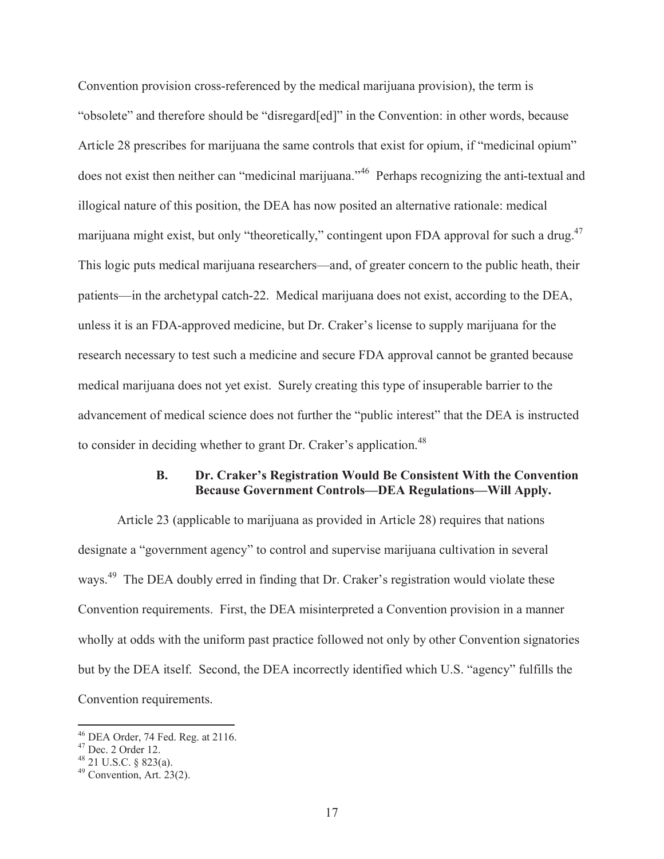Convention provision cross-referenced by the medical marijuana provision), the term is "obsolete" and therefore should be "disregard[ed]" in the Convention: in other words, because Article 28 prescribes for marijuana the same controls that exist for opium, if "medicinal opium" does not exist then neither can "medicinal marijuana."<sup>46</sup> Perhaps recognizing the anti-textual and illogical nature of this position, the DEA has now posited an alternative rationale: medical marijuana might exist, but only "theoretically," contingent upon FDA approval for such a drug.<sup>47</sup> This logic puts medical marijuana researchers—and, of greater concern to the public heath, their patients—in the archetypal catch-22. Medical marijuana does not exist, according to the DEA, unless it is an FDA-approved medicine, but Dr. Craker's license to supply marijuana for the research necessary to test such a medicine and secure FDA approval cannot be granted because medical marijuana does not yet exist. Surely creating this type of insuperable barrier to the advancement of medical science does not further the "public interest" that the DEA is instructed to consider in deciding whether to grant Dr. Craker's application.<sup>48</sup>

## **B. Dr. Craker's Registration Would Be Consistent With the Convention Because Government Controls—DEA Regulations—Will Apply.**

Article 23 (applicable to marijuana as provided in Article 28) requires that nations designate a "government agency" to control and supervise marijuana cultivation in several ways.<sup>49</sup> The DEA doubly erred in finding that Dr. Craker's registration would violate these Convention requirements. First, the DEA misinterpreted a Convention provision in a manner wholly at odds with the uniform past practice followed not only by other Convention signatories but by the DEA itself. Second, the DEA incorrectly identified which U.S. "agency" fulfills the Convention requirements.

<sup>46</sup> DEA Order, 74 Fed. Reg. at 2116.

<sup>47</sup> Dec. 2 Order 12.

 $48$  21 U.S.C. § 823(a).

 $49$  Convention, Art. 23(2).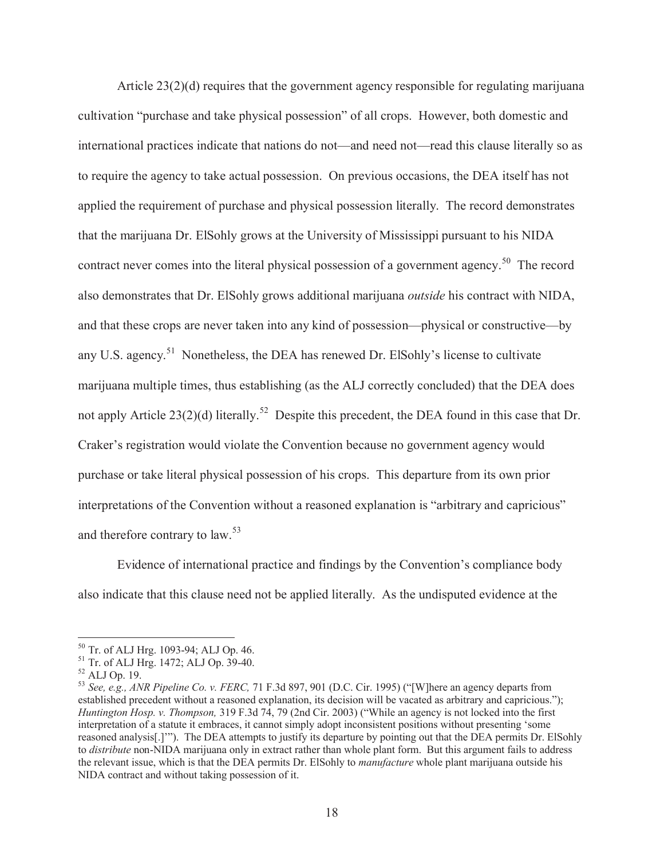Article 23(2)(d) requires that the government agency responsible for regulating marijuana cultivation "purchase and take physical possession" of all crops. However, both domestic and international practices indicate that nations do not—and need not—read this clause literally so as to require the agency to take actual possession. On previous occasions, the DEA itself has not applied the requirement of purchase and physical possession literally. The record demonstrates that the marijuana Dr. ElSohly grows at the University of Mississippi pursuant to his NIDA contract never comes into the literal physical possession of a government agency.<sup>50</sup> The record also demonstrates that Dr. ElSohly grows additional marijuana *outside* his contract with NIDA, and that these crops are never taken into any kind of possession—physical or constructive—by any U.S. agency.<sup>51</sup> Nonetheless, the DEA has renewed Dr. ElSohly's license to cultivate marijuana multiple times, thus establishing (as the ALJ correctly concluded) that the DEA does not apply Article 23(2)(d) literally.<sup>52</sup> Despite this precedent, the DEA found in this case that Dr. Craker's registration would violate the Convention because no government agency would purchase or take literal physical possession of his crops. This departure from its own prior interpretations of the Convention without a reasoned explanation is "arbitrary and capricious" and therefore contrary to law. 53

Evidence of international practice and findings by the Convention's compliance body also indicate that this clause need not be applied literally. As the undisputed evidence at the

<sup>50</sup> Tr. of ALJ Hrg. 1093-94; ALJ Op. 46.

<sup>51</sup> Tr. of ALJ Hrg. 1472; ALJ Op. 39-40.

<sup>52</sup> ALJ Op. 19.

<sup>53</sup> *See, e.g., ANR Pipeline Co. v. FERC,* 71 F.3d 897, 901 (D.C. Cir. 1995) ("[W]here an agency departs from established precedent without a reasoned explanation, its decision will be vacated as arbitrary and capricious."); *Huntington Hosp. v. Thompson,* 319 F.3d 74, 79 (2nd Cir. 2003) ("While an agency is not locked into the first interpretation of a statute it embraces, it cannot simply adopt inconsistent positions without presenting 'some reasoned analysis[.]'"). The DEA attempts to justify its departure by pointing out that the DEA permits Dr. ElSohly to *distribute* non-NIDA marijuana only in extract rather than whole plant form. But this argument fails to address the relevant issue, which is that the DEA permits Dr. ElSohly to *manufacture* whole plant marijuana outside his NIDA contract and without taking possession of it.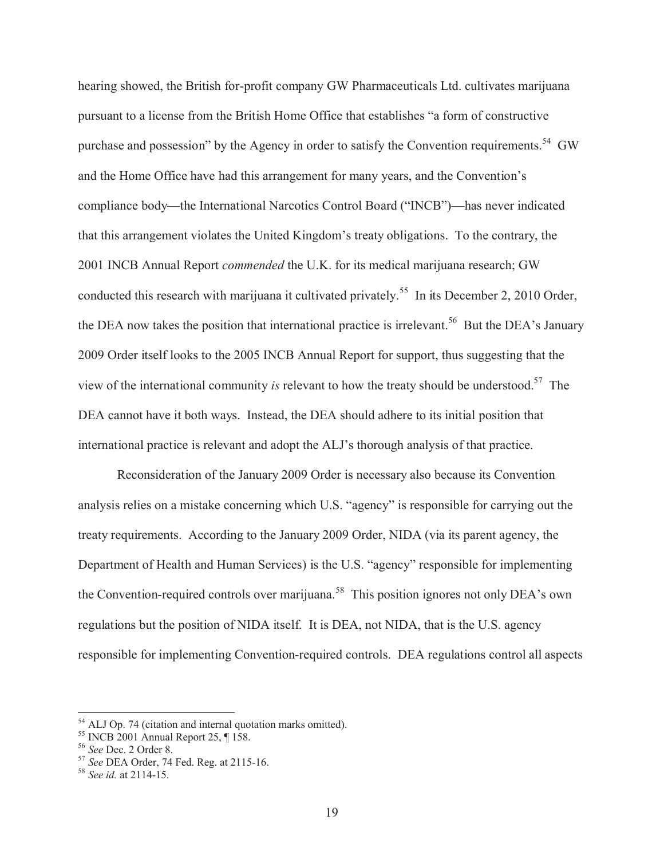hearing showed, the British for-profit company GW Pharmaceuticals Ltd. cultivates marijuana pursuant to a license from the British Home Office that establishes "a form of constructive purchase and possession" by the Agency in order to satisfy the Convention requirements.<sup>54</sup> GW and the Home Office have had this arrangement for many years, and the Convention's compliance body—the International Narcotics Control Board ("INCB")—has never indicated that this arrangement violates the United Kingdom's treaty obligations. To the contrary, the 2001 INCB Annual Report *commended* the U.K. for its medical marijuana research; GW conducted this research with marijuana it cultivated privately.<sup>55</sup> In its December 2, 2010 Order, the DEA now takes the position that international practice is irrelevant.<sup>56</sup> But the DEA's January 2009 Order itself looks to the 2005 INCB Annual Report for support, thus suggesting that the view of the international community *is* relevant to how the treaty should be understood.<sup>57</sup> The DEA cannot have it both ways. Instead, the DEA should adhere to its initial position that international practice is relevant and adopt the ALJ's thorough analysis of that practice.

Reconsideration of the January 2009 Order is necessary also because its Convention analysis relies on a mistake concerning which U.S. "agency" is responsible for carrying out the treaty requirements. According to the January 2009 Order, NIDA (via its parent agency, the Department of Health and Human Services) is the U.S. "agency" responsible for implementing the Convention-required controls over marijuana.<sup>58</sup> This position ignores not only DEA's own regulations but the position of NIDA itself. It is DEA, not NIDA, that is the U.S. agency responsible for implementing Convention-required controls. DEA regulations control all aspects

<sup>&</sup>lt;sup>54</sup> ALJ Op. 74 (citation and internal quotation marks omitted).

<sup>55</sup> INCB 2001 Annual Report 25, ¶ 158.

<sup>56</sup> *See* Dec. 2 Order 8.

<sup>57</sup> *See* DEA Order, 74 Fed. Reg. at 2115-16.

<sup>58</sup> *See id.* at 2114-15.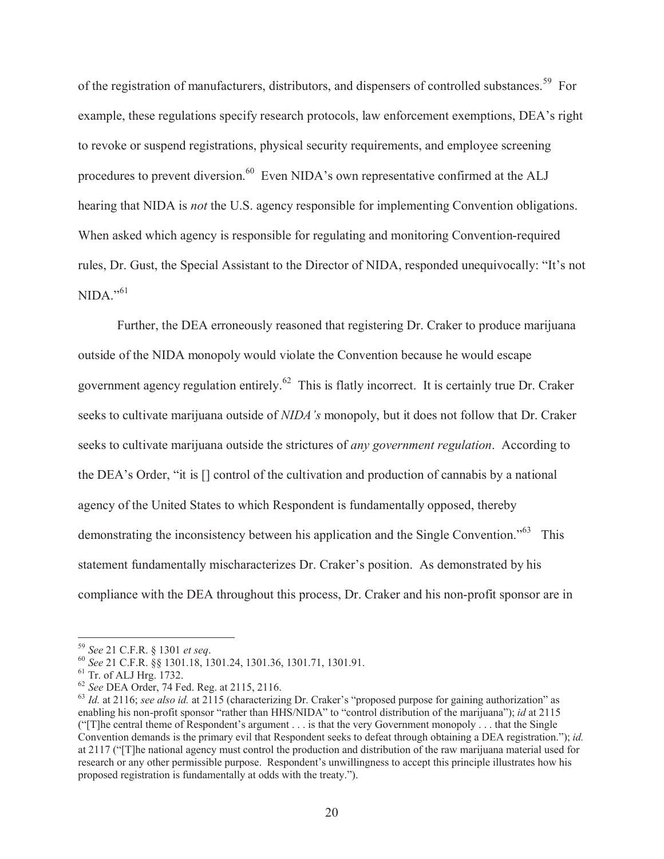of the registration of manufacturers, distributors, and dispensers of controlled substances.<sup>59</sup> For example, these regulations specify research protocols, law enforcement exemptions, DEA's right to revoke or suspend registrations, physical security requirements, and employee screening procedures to prevent diversion.<sup>60</sup> Even NIDA's own representative confirmed at the ALJ hearing that NIDA is *not* the U.S. agency responsible for implementing Convention obligations. When asked which agency is responsible for regulating and monitoring Convention-required rules, Dr. Gust, the Special Assistant to the Director of NIDA, responded unequivocally: "It's not  $NIDA$ <sup>"61</sup>

Further, the DEA erroneously reasoned that registering Dr. Craker to produce marijuana outside of the NIDA monopoly would violate the Convention because he would escape government agency regulation entirely.<sup>62</sup> This is flatly incorrect. It is certainly true Dr. Craker seeks to cultivate marijuana outside of *NIDA's* monopoly, but it does not follow that Dr. Craker seeks to cultivate marijuana outside the strictures of *any government regulation*. According to the DEA's Order, "it is [] control of the cultivation and production of cannabis by a national agency of the United States to which Respondent is fundamentally opposed, thereby demonstrating the inconsistency between his application and the Single Convention."<sup>63</sup> This statement fundamentally mischaracterizes Dr. Craker's position. As demonstrated by his compliance with the DEA throughout this process, Dr. Craker and his non-profit sponsor are in

<sup>59</sup> *See* 21 C.F.R. § 1301 *et seq*.

<sup>60</sup> *See* 21 C.F.R. §§ 1301.18, 1301.24, 1301.36, 1301.71, 1301.91.

 $61$  Tr. of ALJ Hrg. 1732.

<sup>62</sup> *See* DEA Order, 74 Fed. Reg. at 2115, 2116.

<sup>63</sup> *Id.* at 2116; *see also id.* at 2115 (characterizing Dr. Craker's "proposed purpose for gaining authorization" as enabling his non-profit sponsor "rather than HHS/NIDA" to "control distribution of the marijuana"); *id* at 2115 ("[T]he central theme of Respondent's argument . . . is that the very Government monopoly . . . that the Single Convention demands is the primary evil that Respondent seeks to defeat through obtaining a DEA registration."); *id.* at 2117 ("[T]he national agency must control the production and distribution of the raw marijuana material used for research or any other permissible purpose. Respondent's unwillingness to accept this principle illustrates how his proposed registration is fundamentally at odds with the treaty.").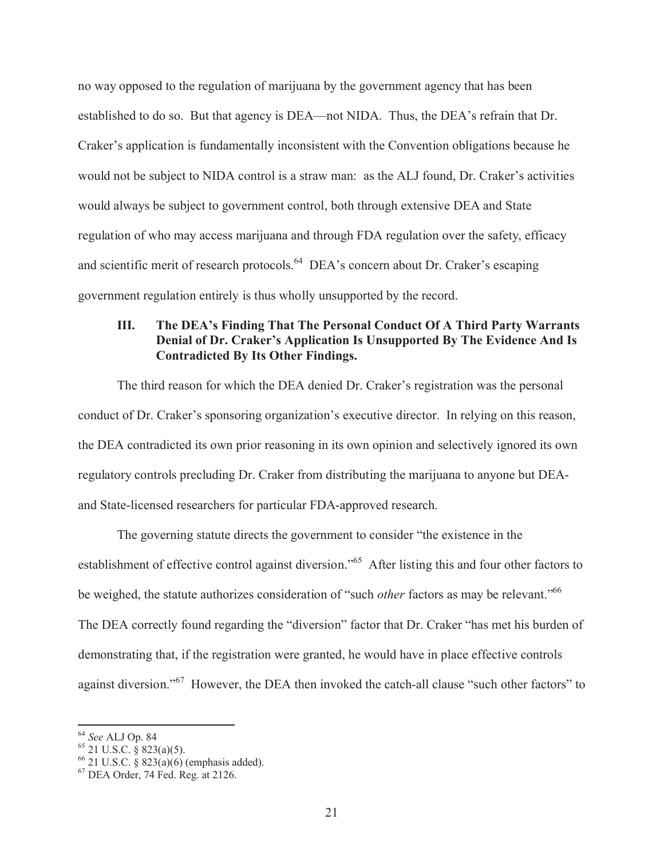no way opposed to the regulation of marijuana by the government agency that has been established to do so. But that agency is DEA—not NIDA. Thus, the DEA's refrain that Dr. Craker's application is fundamentally inconsistent with the Convention obligations because he would not be subject to NIDA control is a straw man: as the ALJ found, Dr. Craker's activities would always be subject to government control, both through extensive DEA and State regulation of who may access marijuana and through FDA regulation over the safety, efficacy and scientific merit of research protocols.<sup>64</sup> DEA's concern about Dr. Craker's escaping government regulation entirely is thus wholly unsupported by the record.

## **III. The DEA's Finding That The Personal Conduct Of A Third Party Warrants Denial of Dr. Craker's Application Is Unsupported By The Evidence And Is Contradicted By Its Other Findings.**

The third reason for which the DEA denied Dr. Craker's registration was the personal conduct of Dr. Craker's sponsoring organization's executive director. In relying on this reason, the DEA contradicted its own prior reasoning in its own opinion and selectively ignored its own regulatory controls precluding Dr. Craker from distributing the marijuana to anyone but DEAand State-licensed researchers for particular FDA-approved research.

The governing statute directs the government to consider "the existence in the establishment of effective control against diversion."<sup>65</sup> After listing this and four other factors to be weighed, the statute authorizes consideration of "such *other* factors as may be relevant."<sup>66</sup> The DEA correctly found regarding the "diversion" factor that Dr. Craker "has met his burden of demonstrating that, if the registration were granted, he would have in place effective controls against diversion."<sup>67</sup> However, the DEA then invoked the catch-all clause "such other factors" to

<sup>64</sup> *See* ALJ Op. 84

 $65$  21 U.S.C. § 823(a)(5).

 $66$  21 U.S.C. § 823(a)(6) (emphasis added).

<sup>67</sup> DEA Order, 74 Fed. Reg. at 2126.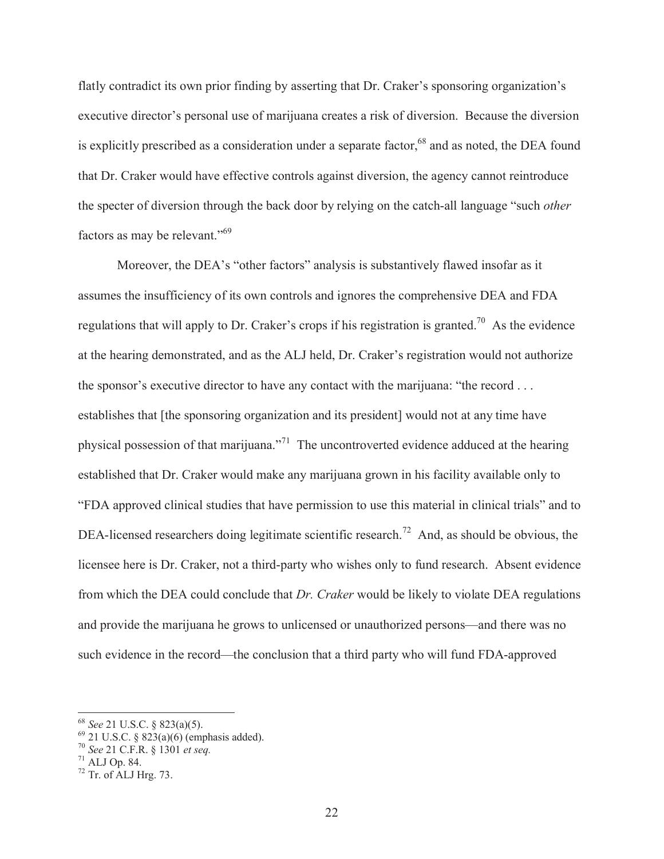flatly contradict its own prior finding by asserting that Dr. Craker's sponsoring organization's executive director's personal use of marijuana creates a risk of diversion. Because the diversion is explicitly prescribed as a consideration under a separate factor,<sup>68</sup> and as noted, the DEA found that Dr. Craker would have effective controls against diversion, the agency cannot reintroduce the specter of diversion through the back door by relying on the catch-all language "such *other* factors as may be relevant."<sup>69</sup>

Moreover, the DEA's "other factors" analysis is substantively flawed insofar as it assumes the insufficiency of its own controls and ignores the comprehensive DEA and FDA regulations that will apply to Dr. Craker's crops if his registration is granted.<sup>70</sup> As the evidence at the hearing demonstrated, and as the ALJ held, Dr. Craker's registration would not authorize the sponsor's executive director to have any contact with the marijuana: "the record . . . establishes that [the sponsoring organization and its president] would not at any time have physical possession of that marijuana."<sup>71</sup> The uncontroverted evidence adduced at the hearing established that Dr. Craker would make any marijuana grown in his facility available only to "FDA approved clinical studies that have permission to use this material in clinical trials" and to DEA-licensed researchers doing legitimate scientific research.<sup>72</sup> And, as should be obvious, the licensee here is Dr. Craker, not a third-party who wishes only to fund research. Absent evidence from which the DEA could conclude that *Dr. Craker* would be likely to violate DEA regulations and provide the marijuana he grows to unlicensed or unauthorized persons—and there was no such evidence in the record—the conclusion that a third party who will fund FDA-approved

<sup>68</sup> *See* 21 U.S.C. § 823(a)(5).

 $69$  21 U.S.C. § 823(a)(6) (emphasis added).

<sup>70</sup> *See* 21 C.F.R. § 1301 *et seq.*

 $71$  ALJ Op. 84.

 $72$  Tr. of ALJ Hrg. 73.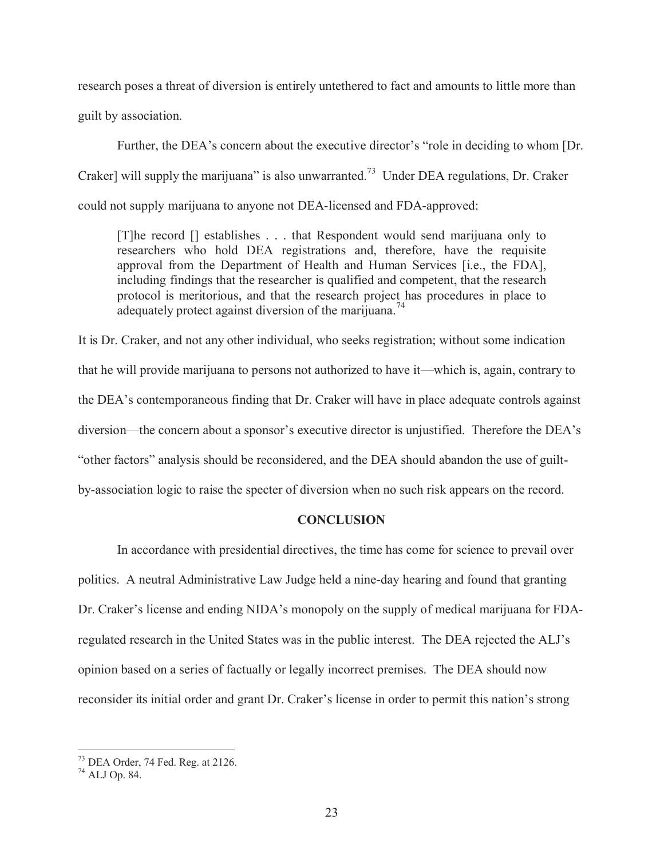research poses a threat of diversion is entirely untethered to fact and amounts to little more than guilt by association.

Further, the DEA's concern about the executive director's "role in deciding to whom [Dr. Craker] will supply the marijuana" is also unwarranted.<sup>73</sup> Under DEA regulations, Dr. Craker could not supply marijuana to anyone not DEA-licensed and FDA-approved:

[T]he record [] establishes . . . that Respondent would send marijuana only to researchers who hold DEA registrations and, therefore, have the requisite approval from the Department of Health and Human Services [i.e., the FDA], including findings that the researcher is qualified and competent, that the research protocol is meritorious, and that the research project has procedures in place to adequately protect against diversion of the marijuana.<sup>74</sup>

It is Dr. Craker, and not any other individual, who seeks registration; without some indication that he will provide marijuana to persons not authorized to have it—which is, again, contrary to the DEA's contemporaneous finding that Dr. Craker will have in place adequate controls against diversion—the concern about a sponsor's executive director is unjustified. Therefore the DEA's "other factors" analysis should be reconsidered, and the DEA should abandon the use of guiltby-association logic to raise the specter of diversion when no such risk appears on the record.

## **CONCLUSION**

In accordance with presidential directives, the time has come for science to prevail over politics. A neutral Administrative Law Judge held a nine-day hearing and found that granting Dr. Craker's license and ending NIDA's monopoly on the supply of medical marijuana for FDAregulated research in the United States was in the public interest. The DEA rejected the ALJ's opinion based on a series of factually or legally incorrect premises. The DEA should now reconsider its initial order and grant Dr. Craker's license in order to permit this nation's strong

<sup>73</sup> DEA Order, 74 Fed. Reg. at 2126.

<sup>74</sup> ALJ Op. 84.